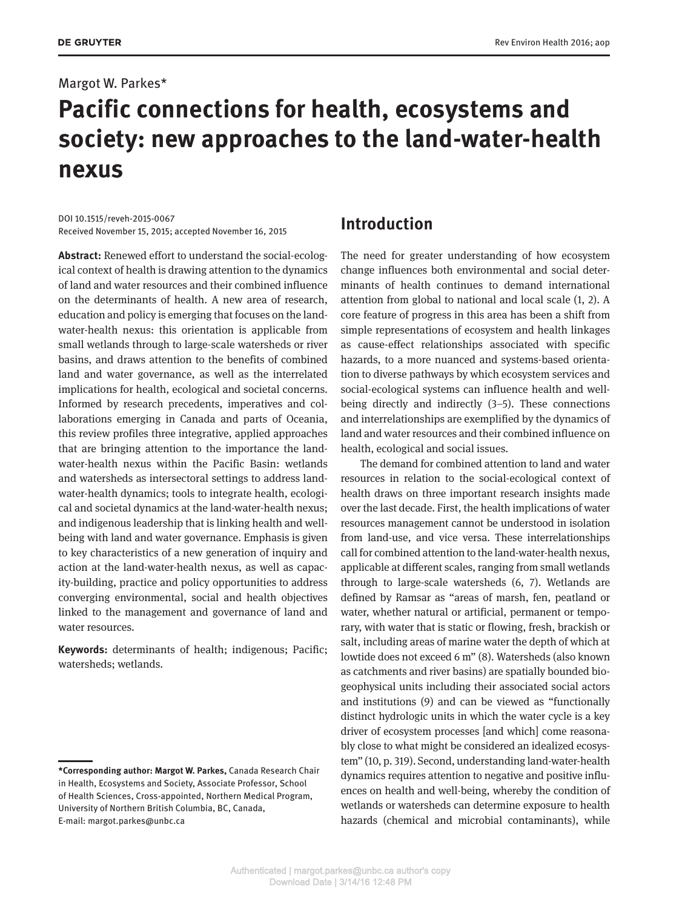#### Margot W. Parkes\*

# **Pacific connections for health, ecosystems and society: new approaches to the land-water-health nexus**

DOI 10.1515/reveh-2015-0067 Received November 15, 2015; accepted November 16, 2015

**Abstract:** Renewed effort to understand the social-ecological context of health is drawing attention to the dynamics of land and water resources and their combined influence on the determinants of health. A new area of research, education and policy is emerging that focuses on the landwater-health nexus: this orientation is applicable from small wetlands through to large-scale watersheds or river basins, and draws attention to the benefits of combined land and water governance, as well as the interrelated implications for health, ecological and societal concerns. Informed by research precedents, imperatives and collaborations emerging in Canada and parts of Oceania, this review profiles three integrative, applied approaches that are bringing attention to the importance the landwater-health nexus within the Pacific Basin: wetlands and watersheds as intersectoral settings to address landwater-health dynamics; tools to integrate health, ecological and societal dynamics at the land-water-health nexus; and indigenous leadership that is linking health and wellbeing with land and water governance. Emphasis is given to key characteristics of a new generation of inquiry and action at the land-water-health nexus, as well as capacity-building, practice and policy opportunities to address converging environmental, social and health objectives linked to the management and governance of land and water resources.

**Keywords:** determinants of health; indigenous; Pacific; watersheds; wetlands.

### **Introduction**

The need for greater understanding of how ecosystem change influences both environmental and social determinants of health continues to demand international attention from global to national and local scale (1, 2). A core feature of progress in this area has been a shift from simple representations of ecosystem and health linkages as cause-effect relationships associated with specific hazards, to a more nuanced and systems-based orientation to diverse pathways by which ecosystem services and social-ecological systems can influence health and wellbeing directly and indirectly (3–5). These connections and interrelationships are exemplified by the dynamics of land and water resources and their combined influence on health, ecological and social issues.

The demand for combined attention to land and water resources in relation to the social-ecological context of health draws on three important research insights made over the last decade. First, the health implications of water resources management cannot be understood in isolation from land-use, and vice versa. These interrelationships call for combined attention to the land-water-health nexus, applicable at different scales, ranging from small wetlands through to large-scale watersheds (6, 7). Wetlands are defined by Ramsar as "areas of marsh, fen, peatland or water, whether natural or artificial, permanent or temporary, with water that is static or flowing, fresh, brackish or salt, including areas of marine water the depth of which at lowtide does not exceed 6 m" (8). Watersheds (also known as catchments and river basins) are spatially bounded biogeophysical units including their associated social actors and institutions (9) and can be viewed as "functionally distinct hydrologic units in which the water cycle is a key driver of ecosystem processes [and which] come reasonably close to what might be considered an idealized ecosystem" (10, p. 319). Second, understanding land-water-health dynamics requires attention to negative and positive influences on health and well-being, whereby the condition of wetlands or watersheds can determine exposure to health hazards (chemical and microbial contaminants), while

**<sup>\*</sup>Corresponding author: Margot W. Parkes,** Canada Research Chair in Health, Ecosystems and Society, Associate Professor, School of Health Sciences, Cross-appointed, Northern Medical Program, University of Northern British Columbia, BC, Canada, E-mail: [margot.parkes@unbc.ca](mailto:margot.parkes@unbc.ca)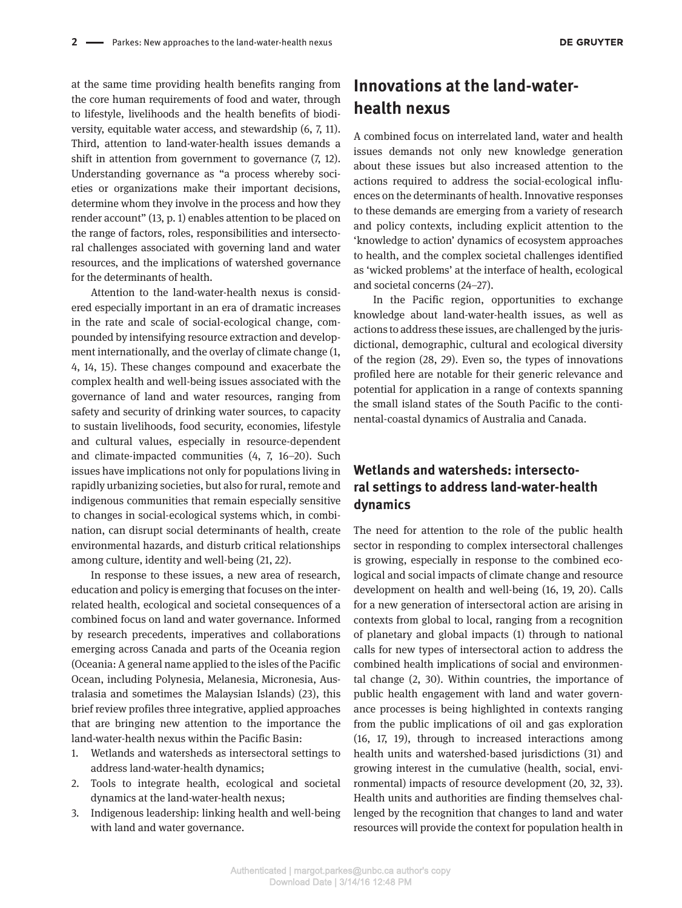at the same time providing health benefits ranging from the core human requirements of food and water, through to lifestyle, livelihoods and the health benefits of biodiversity, equitable water access, and stewardship (6, 7, 11). Third, attention to land-water-health issues demands a shift in attention from government to governance (7, 12). Understanding governance as "a process whereby societies or organizations make their important decisions, determine whom they involve in the process and how they render account" (13, p. 1) enables attention to be placed on the range of factors, roles, responsibilities and intersectoral challenges associated with governing land and water resources, and the implications of watershed governance for the determinants of health.

Attention to the land-water-health nexus is considered especially important in an era of dramatic increases in the rate and scale of social-ecological change, compounded by intensifying resource extraction and development internationally, and the overlay of climate change (1, 4, 14, 15). These changes compound and exacerbate the complex health and well-being issues associated with the governance of land and water resources, ranging from safety and security of drinking water sources, to capacity to sustain livelihoods, food security, economies, lifestyle and cultural values, especially in resource-dependent and climate-impacted communities (4, 7, 16–20). Such issues have implications not only for populations living in rapidly urbanizing societies, but also for rural, remote and indigenous communities that remain especially sensitive to changes in social-ecological systems which, in combination, can disrupt social determinants of health, create environmental hazards, and disturb critical relationships among culture, identity and well-being (21, 22).

In response to these issues, a new area of research, education and policy is emerging that focuses on the interrelated health, ecological and societal consequences of a combined focus on land and water governance. Informed by research precedents, imperatives and collaborations emerging across Canada and parts of the Oceania region (Oceania: A general name applied to the isles of the Pacific Ocean, including Polynesia, Melanesia, Micronesia, Australasia and sometimes the Malaysian Islands) (23), this brief review profiles three integrative, applied approaches that are bringing new attention to the importance the land-water-health nexus within the Pacific Basin:

- 1. Wetlands and watersheds as intersectoral settings to address land-water-health dynamics;
- 2. Tools to integrate health, ecological and societal dynamics at the land-water-health nexus;
- 3. Indigenous leadership: linking health and well-being with land and water governance.

# **Innovations at the land-waterhealth nexus**

A combined focus on interrelated land, water and health issues demands not only new knowledge generation about these issues but also increased attention to the actions required to address the social-ecological influences on the determinants of health. Innovative responses to these demands are emerging from a variety of research and policy contexts, including explicit attention to the 'knowledge to action' dynamics of ecosystem approaches to health, and the complex societal challenges identified as 'wicked problems' at the interface of health, ecological and societal concerns (24–27).

In the Pacific region, opportunities to exchange knowledge about land-water-health issues, as well as actions to address these issues, are challenged by the jurisdictional, demographic, cultural and ecological diversity of the region (28, 29). Even so, the types of innovations profiled here are notable for their generic relevance and potential for application in a range of contexts spanning the small island states of the South Pacific to the continental-coastal dynamics of Australia and Canada.

#### **Wetlands and watersheds: intersectoral settings to address land-water-health dynamics**

The need for attention to the role of the public health sector in responding to complex intersectoral challenges is growing, especially in response to the combined ecological and social impacts of climate change and resource development on health and well-being (16, 19, 20). Calls for a new generation of intersectoral action are arising in contexts from global to local, ranging from a recognition of planetary and global impacts (1) through to national calls for new types of intersectoral action to address the combined health implications of social and environmental change (2, 30). Within countries, the importance of public health engagement with land and water governance processes is being highlighted in contexts ranging from the public implications of oil and gas exploration (16, 17, 19), through to increased interactions among health units and watershed-based jurisdictions (31) and growing interest in the cumulative (health, social, environmental) impacts of resource development (20, 32, 33). Health units and authorities are finding themselves challenged by the recognition that changes to land and water resources will provide the context for population health in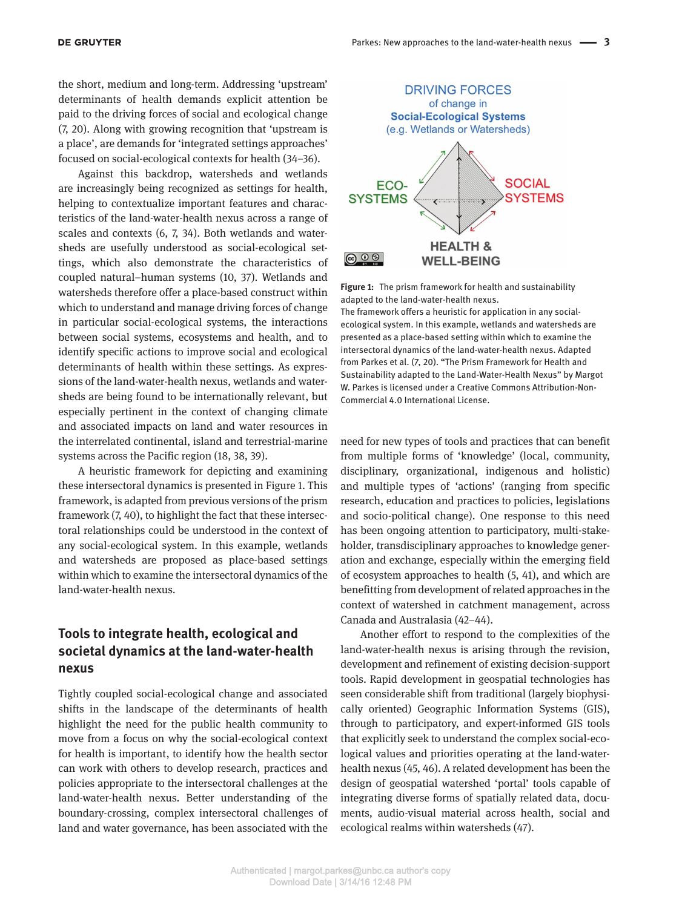the short, medium and long-term. Addressing 'upstream' determinants of health demands explicit attention be paid to the driving forces of social and ecological change (7, 20). Along with growing recognition that 'upstream is a place', are demands for 'integrated settings approaches' focused on social-ecological contexts for health (34–36).

Against this backdrop, watersheds and wetlands are increasingly being recognized as settings for health, helping to contextualize important features and characteristics of the land-water-health nexus across a range of scales and contexts (6, 7, 34). Both wetlands and watersheds are usefully understood as social-ecological settings, which also demonstrate the characteristics of coupled natural–human systems (10, 37). Wetlands and watersheds therefore offer a place-based construct within which to understand and manage driving forces of change in particular social-ecological systems, the interactions between social systems, ecosystems and health, and to identify specific actions to improve social and ecological determinants of health within these settings. As expressions of the land-water-health nexus, wetlands and watersheds are being found to be internationally relevant, but especially pertinent in the context of changing climate and associated impacts on land and water resources in the interrelated continental, island and terrestrial-marine systems across the Pacific region (18, 38, 39).

A heuristic framework for depicting and examining these intersectoral dynamics is presented in Figure 1. This framework, is adapted from previous versions of the prism framework (7, 40), to highlight the fact that these intersectoral relationships could be understood in the context of any social-ecological system. In this example, wetlands and watersheds are proposed as place-based settings within which to examine the intersectoral dynamics of the land-water-health nexus.

#### **Tools to integrate health, ecological and societal dynamics at the land-water-health nexus**

Tightly coupled social-ecological change and associated shifts in the landscape of the determinants of health highlight the need for the public health community to move from a focus on why the social-ecological context for health is important, to identify how the health sector can work with others to develop research, practices and policies appropriate to the intersectoral challenges at the land-water-health nexus. Better understanding of the boundary-crossing, complex intersectoral challenges of land and water governance, has been associated with the



**Figure 1:** The prism framework for health and sustainability adapted to the land-water-health nexus.

The framework offers a heuristic for application in any socialecological system. In this example, wetlands and watersheds are presented as a place-based setting within which to examine the intersectoral dynamics of the land-water-health nexus. Adapted from Parkes et al. (7, 20). "The Prism Framework for Health and Sustainability adapted to the Land-Water-Health Nexus" by Margot W. Parkes is licensed under a Creative Commons Attribution-Non-Commercial 4.0 International License.

need for new types of tools and practices that can benefit from multiple forms of 'knowledge' (local, community, disciplinary, organizational, indigenous and holistic) and multiple types of 'actions' (ranging from specific research, education and practices to policies, legislations and socio-political change). One response to this need has been ongoing attention to participatory, multi-stakeholder, transdisciplinary approaches to knowledge generation and exchange, especially within the emerging field of ecosystem approaches to health (5, 41), and which are benefitting from development of related approaches in the context of watershed in catchment management, across Canada and Australasia (42–44).

Another effort to respond to the complexities of the land-water-health nexus is arising through the revision, development and refinement of existing decision-support tools. Rapid development in geospatial technologies has seen considerable shift from traditional (largely biophysically oriented) Geographic Information Systems (GIS), through to participatory, and expert-informed GIS tools that explicitly seek to understand the complex social-ecological values and priorities operating at the land-waterhealth nexus (45, 46). A related development has been the design of geospatial watershed 'portal' tools capable of integrating diverse forms of spatially related data, documents, audio-visual material across health, social and ecological realms within watersheds (47).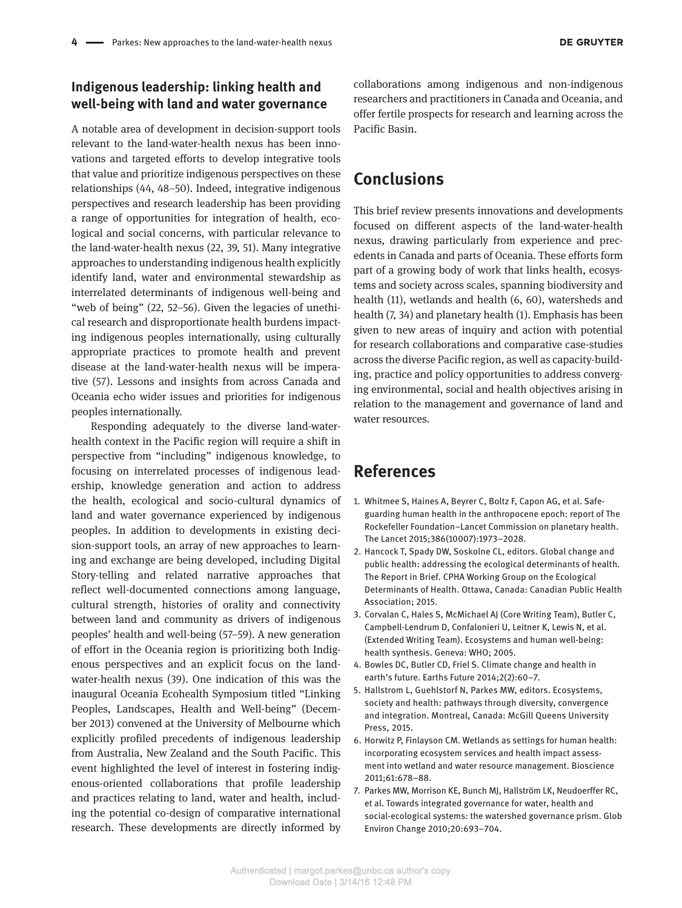#### **Indigenous leadership: linking health and well-being with land and water governance**

A notable area of development in decision-support tools relevant to the land-water-health nexus has been innovations and targeted efforts to develop integrative tools that value and prioritize indigenous perspectives on these relationships (44, 48–50). Indeed, integrative indigenous perspectives and research leadership has been providing a range of opportunities for integration of health, ecological and social concerns, with particular relevance to the land-water-health nexus (22, 39, 51). Many integrative approaches to understanding indigenous health explicitly identify land, water and environmental stewardship as interrelated determinants of indigenous well-being and "web of being" (22, 52–56). Given the legacies of unethical research and disproportionate health burdens impacting indigenous peoples internationally, using culturally appropriate practices to promote health and prevent disease at the land-water-health nexus will be imperative (57). Lessons and insights from across Canada and Oceania echo wider issues and priorities for indigenous peoples internationally.

Responding adequately to the diverse land-waterhealth context in the Pacific region will require a shift in perspective from "including" indigenous knowledge, to focusing on interrelated processes of indigenous leadership, knowledge generation and action to address the health, ecological and socio-cultural dynamics of land and water governance experienced by indigenous peoples. In addition to developments in existing decision-support tools, an array of new approaches to learning and exchange are being developed, including Digital Story-telling and related narrative approaches that reflect well-documented connections among language, cultural strength, histories of orality and connectivity between land and community as drivers of indigenous peoples' health and well-being (57–59). A new generation of effort in the Oceania region is prioritizing both Indigenous perspectives and an explicit focus on the landwater-health nexus (39). One indication of this was the inaugural Oceania Ecohealth Symposium titled "Linking Peoples, Landscapes, Health and Well-being" (December 2013) convened at the University of Melbourne which explicitly profiled precedents of indigenous leadership from Australia, New Zealand and the South Pacific. This event highlighted the level of interest in fostering indigenous-oriented collaborations that profile leadership and practices relating to land, water and health, including the potential co-design of comparative international research. These developments are directly informed by

collaborations among indigenous and non-indigenous researchers and practitioners in Canada and Oceania, and offer fertile prospects for research and learning across the Pacific Basin.

## **Conclusions**

This brief review presents innovations and developments focused on different aspects of the land-water-health nexus, drawing particularly from experience and precedents in Canada and parts of Oceania. These efforts form part of a growing body of work that links health, ecosystems and society across scales, spanning biodiversity and health (11), wetlands and health (6, 60), watersheds and health (7, 34) and planetary health (1). Emphasis has been given to new areas of inquiry and action with potential for research collaborations and comparative case-studies across the diverse Pacific region, as well as capacity-building, practice and policy opportunities to address converging environmental, social and health objectives arising in relation to the management and governance of land and water resources.

## **References**

- 1. Whitmee S, Haines A, Beyrer C, Boltz F, Capon AG, et al. Safeguarding human health in the anthropocene epoch: report of The Rockefeller Foundation–Lancet Commission on planetary health. The Lancet 2015;386(10007):1973–2028.
- 2. Hancock T, Spady DW, Soskolne CL, editors. Global change and public health: addressing the ecological determinants of health. The Report in Brief. CPHA Working Group on the Ecological Determinants of Health. Ottawa, Canada: Canadian Public Health Association; 2015.
- 3. Corvalan C, Hales S, McMichael AJ (Core Writing Team), Butler C, Campbell-Lendrum D, Confalonieri U, Leitner K, Lewis N, et al. (Extended Writing Team). Ecosystems and human well-being: health synthesis. Geneva: WHO; 2005.
- 4. Bowles DC, Butler CD, Friel S. Climate change and health in earth's future. Earths Future 2014;2(2):60–7.
- 5. Hallstrom L, Guehlstorf N, Parkes MW, editors. Ecosystems, society and health: pathways through diversity, convergence and integration. Montreal, Canada: McGill Queens University Press, 2015.
- 6. Horwitz P, Finlayson CM. Wetlands as settings for human health: incorporating ecosystem services and health impact assessment into wetland and water resource management. Bioscience 2011;61:678–88.
- 7. Parkes MW, Morrison KE, Bunch MJ, Hallström LK, Neudoerffer RC, et al. Towards integrated governance for water, health and social-ecological systems: the watershed governance prism. Glob Environ Change 2010;20:693–704.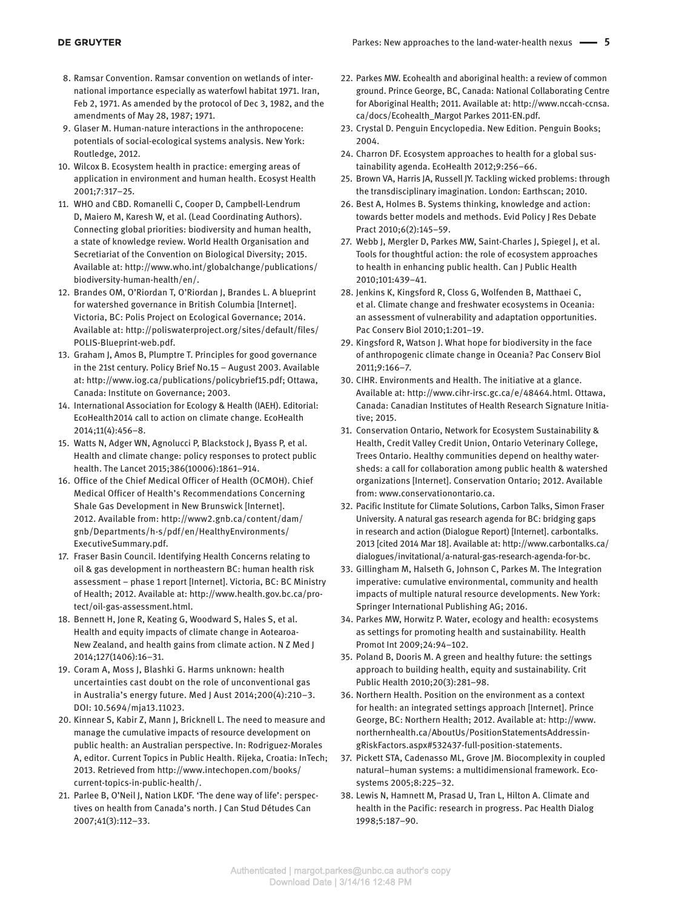- 8. Ramsar Convention. Ramsar convention on wetlands of international importance especially as waterfowl habitat 1971. Iran, Feb 2, 1971. As amended by the protocol of Dec 3, 1982, and the amendments of May 28, 1987; 1971.
- 9. Glaser M. Human-nature interactions in the anthropocene: potentials of social-ecological systems analysis. New York: Routledge, 2012.
- 10. Wilcox B. Ecosystem health in practice: emerging areas of application in environment and human health. Ecosyst Health 2001;7:317–25.
- 11. WHO and CBD. Romanelli C, Cooper D, Campbell-Lendrum D, Maiero M, Karesh W, et al. (Lead Coordinating Authors). Connecting global priorities: biodiversity and human health, a state of knowledge review. World Health Organisation and Secretiariat of the Convention on Biological Diversity; 2015. Available at: [http://www.who.int/globalchange/publications/](http://www.who.int/globalchange/publications/biodiversity-human-health/en/) [biodiversity-human-health/en/.](http://www.who.int/globalchange/publications/biodiversity-human-health/en/)
- 12. Brandes OM, O'Riordan T, O'Riordan J, Brandes L. A blueprint for watershed governance in British Columbia [Internet]. Victoria, BC: Polis Project on Ecological Governance; 2014. Available at: [http://poliswaterproject.org/sites/default/files/](http://poliswaterproject.org/sites/default/files/POLIS-Blueprint-web.pdf) [POLIS-Blueprint-web.pdf.](http://poliswaterproject.org/sites/default/files/POLIS-Blueprint-web.pdf)
- 13. Graham J, Amos B, Plumptre T. Principles for good governance in the 21st century. Policy Brief No.15 – August 2003. Available at: [http://www.iog.ca/publications/policybrief15.pdf;](http://www.iog.ca/publications/policybrief15.pdf) Ottawa, Canada: Institute on Governance; 2003.
- 14. International Association for Ecology & Health (IAEH). Editorial: EcoHealth2014 call to action on climate change. EcoHealth 2014;11(4):456–8.
- 15. Watts N, Adger WN, Agnolucci P, Blackstock J, Byass P, et al. Health and climate change: policy responses to protect public health. The Lancet 2015;386(10006):1861–914.
- 16. Office of the Chief Medical Officer of Health (OCMOH). Chief Medical Officer of Health's Recommendations Concerning Shale Gas Development in New Brunswick [Internet]. 2012. Available from: [http://www2.gnb.ca/content/dam/](http://www2.gnb.ca/content/dam/gnb/Departments/h-s/pdf/en/HealthyEnvironments/ExecutiveSummary.pdf) [gnb/Departments/h-s/pdf/en/HealthyEnvironments/](http://www2.gnb.ca/content/dam/gnb/Departments/h-s/pdf/en/HealthyEnvironments/ExecutiveSummary.pdf) [ExecutiveSummary.pdf.](http://www2.gnb.ca/content/dam/gnb/Departments/h-s/pdf/en/HealthyEnvironments/ExecutiveSummary.pdf)
- 17. Fraser Basin Council. Identifying Health Concerns relating to oil & gas development in northeastern BC: human health risk assessment – phase 1 report [Internet]. Victoria, BC: BC Ministry of Health; 2012. Available at: [http://www.health.gov.bc.ca/pro](http://www.health.gov.bc.ca/protect/oil-gas-assessment.html)[tect/oil-gas-assessment.html](http://www.health.gov.bc.ca/protect/oil-gas-assessment.html).
- 18. Bennett H, Jone R, Keating G, Woodward S, Hales S, et al. Health and equity impacts of climate change in Aotearoa-New Zealand, and health gains from climate action. N Z Med J 2014;127(1406):16–31.
- 19. Coram A, Moss J, Blashki G. Harms unknown: health uncertainties cast doubt on the role of unconventional gas in Australia's energy future. Med J Aust 2014;200(4):210–3. DOI: 10.5694/mja13.11023.
- 20. Kinnear S, Kabir Z, Mann J, Bricknell L. The need to measure and manage the cumulative impacts of resource development on public health: an Australian perspective. In: Rodriguez-Morales A, editor. Current Topics in Public Health. Rijeka, Croatia: InTech; 2013. Retrieved from [http://www.intechopen.com/books/](http://www.intechopen.com/books/current-topics-in-public-health/) [current-topics-in-public-health/.](http://www.intechopen.com/books/current-topics-in-public-health/)
- 21. Parlee B, O'Neil J, Nation LKDF. 'The dene way of life': perspectives on health from Canada's north. J Can Stud Détudes Can 2007;41(3):112–33.
- 22. Parkes MW. Ecohealth and aboriginal health: a review of common ground. Prince George, BC, Canada: National Collaborating Centre for Aboriginal Health; 2011. Available at: [http://www.nccah-ccnsa.](http://www.nccah-ccnsa.ca/docs/Ecohealth_Margot Parkes 2011-EN.pdf) [ca/docs/Ecohealth\\_Margot Parkes 2011-EN.pdf.](http://www.nccah-ccnsa.ca/docs/Ecohealth_Margot Parkes 2011-EN.pdf)
- 23. Crystal D. Penguin Encyclopedia. New Edition. Penguin Books; 2004.
- 24. Charron DF. Ecosystem approaches to health for a global sustainability agenda. EcoHealth 2012;9:256–66.
- 25. Brown VA, Harris JA, Russell JY. Tackling wicked problems: through the transdisciplinary imagination. London: Earthscan; 2010.
- 26. Best A, Holmes B. Systems thinking, knowledge and action: towards better models and methods. Evid Policy J Res Debate Pract 2010;6(2):145–59.
- 27. Webb J, Mergler D, Parkes MW, Saint-Charles J, Spiegel J, et al. Tools for thoughtful action: the role of ecosystem approaches to health in enhancing public health. Can J Public Health 2010;101:439–41.
- 28. Jenkins K, Kingsford R, Closs G, Wolfenden B, Matthaei C, et al. Climate change and freshwater ecosystems in Oceania: an assessment of vulnerability and adaptation opportunities. Pac Conserv Biol 2010;1:201–19.
- 29. Kingsford R, Watson J. What hope for biodiversity in the face of anthropogenic climate change in Oceania? Pac Conserv Biol 2011;9:166–7.
- 30. CIHR. Environments and Health. The initiative at a glance. Available at: <http://www.cihr-irsc.gc.ca/e/48464.html>. Ottawa, Canada: Canadian Institutes of Health Research Signature Initiative; 2015.
- 31. Conservation Ontario, Network for Ecosystem Sustainability & Health, Credit Valley Credit Union, Ontario Veterinary College, Trees Ontario. Healthy communities depend on healthy watersheds: a call for collaboration among public health & watershed organizations [Internet]. Conservation Ontario; 2012. Available from:<www.conservationontario.ca>.
- 32. Pacific Institute for Climate Solutions, Carbon Talks, Simon Fraser University. A natural gas research agenda for BC: bridging gaps in research and action (Dialogue Report) [Internet]. carbontalks. 2013 [cited 2014 Mar 18]. Available at: [http://www.carbontalks.ca/](http://www.carbontalks.ca/dialogues/invitational/a-natural-gas-research-agenda-for-bc) [dialogues/invitational/a-natural-gas-research-agenda-for-bc.](http://www.carbontalks.ca/dialogues/invitational/a-natural-gas-research-agenda-for-bc)
- 33. Gillingham M, Halseth G, Johnson C, Parkes M. The Integration imperative: cumulative environmental, community and health impacts of multiple natural resource developments. New York: Springer International Publishing AG; 2016.
- 34. Parkes MW, Horwitz P. Water, ecology and health: ecosystems as settings for promoting health and sustainability. Health Promot Int 2009;24:94–102.
- 35. Poland B, Dooris M. A green and healthy future: the settings approach to building health, equity and sustainability. Crit Public Health 2010;20(3):281–98.
- 36. Northern Health. Position on the environment as a context for health: an integrated settings approach [Internet]. Prince George, BC: Northern Health; 2012. Available at: [http://www.](http://www.northernhealth.ca/AboutUs/PositionStatementsAddressingRiskFactors.aspx#532437-full-position-statements) [northernhealth.ca/AboutUs/PositionStatementsAddressin](http://www.northernhealth.ca/AboutUs/PositionStatementsAddressingRiskFactors.aspx#532437-full-position-statements)[gRiskFactors.aspx#532437-full-position-statements](http://www.northernhealth.ca/AboutUs/PositionStatementsAddressingRiskFactors.aspx#532437-full-position-statements).
- 37. Pickett STA, Cadenasso ML, Grove JM. Biocomplexity in coupled natural–human systems: a multidimensional framework. Ecosystems 2005;8:225–32.
- 38. Lewis N, Hamnett M, Prasad U, Tran L, Hilton A. Climate and health in the Pacific: research in progress. Pac Health Dialog 1998;5:187–90.